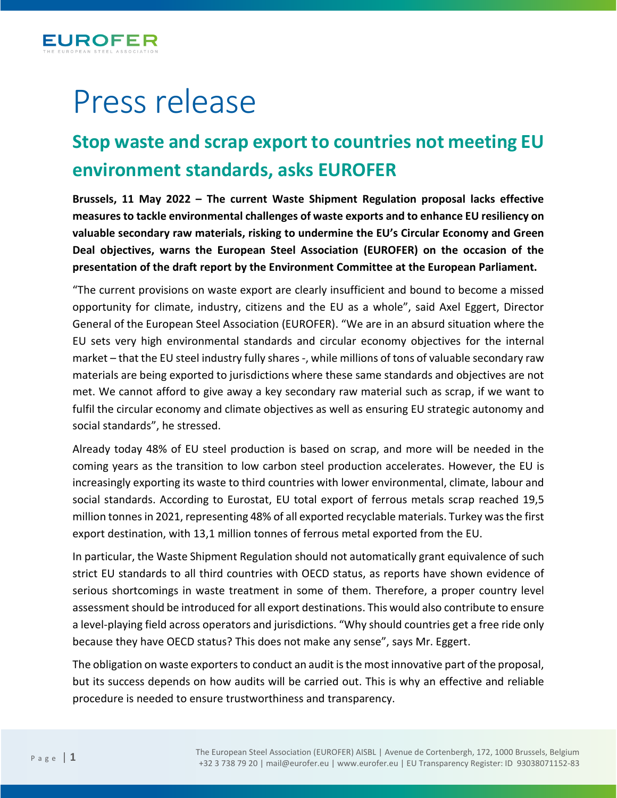

## Press release

## **Stop waste and scrap export to countries not meeting EU environment standards, asks EUROFER**

**Brussels, 11 May 2022 – The current Waste Shipment Regulation proposal lacks effective measures to tackle environmental challenges of waste exports and to enhance EU resiliency on valuable secondary raw materials, risking to undermine the EU's Circular Economy and Green Deal objectives, warns the European Steel Association (EUROFER) on the occasion of the presentation of the draft report by the Environment Committee at the European Parliament.** 

"The current provisions on waste export are clearly insufficient and bound to become a missed opportunity for climate, industry, citizens and the EU as a whole", said Axel Eggert, Director General of the European Steel Association (EUROFER). "We are in an absurd situation where the EU sets very high environmental standards and circular economy objectives for the internal market – that the EU steel industry fully shares-, while millions of tons of valuable secondary raw materials are being exported to jurisdictions where these same standards and objectives are not met. We cannot afford to give away a key secondary raw material such as scrap, if we want to fulfil the circular economy and climate objectives as well as ensuring EU strategic autonomy and social standards", he stressed.

Already today 48% of EU steel production is based on scrap, and more will be needed in the coming years as the transition to low carbon steel production accelerates. However, the EU is increasingly exporting its waste to third countries with lower environmental, climate, labour and social standards. According to Eurostat, EU total export of ferrous metals scrap reached 19,5 million tonnesin 2021, representing 48% of all exported recyclable materials. Turkey was the first export destination, with 13,1 million tonnes of ferrous metal exported from the EU.

In particular, the Waste Shipment Regulation should not automatically grant equivalence of such strict EU standards to all third countries with OECD status, as reports have shown evidence of serious shortcomings in waste treatment in some of them. Therefore, a proper country level assessment should be introduced for all export destinations. This would also contribute to ensure a level-playing field across operators and jurisdictions. "Why should countries get a free ride only because they have OECD status? This does not make any sense", says Mr. Eggert.

The obligation on waste exporters to conduct an audit is the most innovative part of the proposal, but its success depends on how audits will be carried out. This is why an effective and reliable procedure is needed to ensure trustworthiness and transparency.